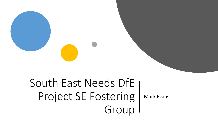# South East Needs DfE Project SE Fostering Group

Mark Evans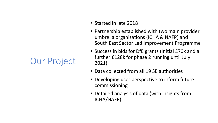## Our Project

- Started in late 2018
- Partnership established with two main provider umbrella organizations (ICHA & NAFP) and South East Sector Led Improvement Programme
- Success in bids for DfE grants (Initial £70k and a further £128k for phase 2 running until July 2021)
- Data collected from all 19 SE authorities
- Developing user perspective to inform future commissioning
- Detailed analysis of data (with insights from ICHA/NAFP)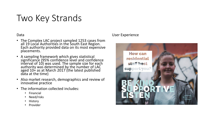## Two Key Strands

#### Data

- The Complex LAC project sampled 1253 cases from all 19 Local Authorities in the South East Region. Each authority provided data on its most expensive placements.
- A sampling framework which gives statistical significance (95% confidence level and confidence interval of 10) was used. The sample size for each authority was determined by the number of LAC aged 10+ as at March 2017 (the latest published data at the time)
- Also market research, demographics and review of innovative practice
- The information collected includes:
	- Financial
	- Need/risks
	- History
	- **Provider**

#### User Experience

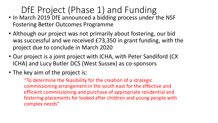## DfE Project (Phase 1) and Funding

- In March 2019 DfE announced a bidding process under the NSF Fostering Better Outcomes Programme
- Although our project was not primarily about fostering, our bid was successful and we received £73,350 in grant funding, with the project due to conclude in March 2020
- Our project is a joint project with ICHA, with Peter Sandiford (CX ICHA) and Lucy Butler DCS (West Sussex) as co-sponsors
- The key aim of the project is:

"To determine the feasibility for the creation of a strategic commissioning arrangement in the south east for the effective and efficient commissioning and purchase of appropriate residential and fostering placements for looked after children and young people with complex needs"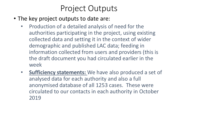### Project Outputs

- The key project outputs to date are:
	- Production of a detailed analysis of need for the authorities participating in the project, using existing collected data and setting it in the context of wider demographic and published LAC data; feeding in information collected from users and providers (this is the draft document you had circulated earlier in the week
	- **Sufficiency statements:** We have also produced a set of analysed data for each authority and also a full anonymised database of all 1253 cases. These were circulated to our contacts in each authority in October 2019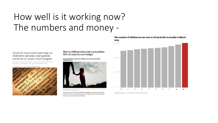## How well is it working now? The numbers and money -

#### Councils issue stark warnings as children's services overspends continue to strain most budgets

Analysis of local authority reports reveals scale of ongoing pressures exerted by care placement and agency social worker costs

ley Turner on Ontabar 4, 2010 in Children, Social work les



Rise in children taken into care pushes 88% of councils over budget

Local authorities overspent on children's services by an estimated £807m in 2017-18



In March 2018 there were 75,420 looked-after children in England, according to government data. Photograph 906/Getty Images/Stockphoto

Almost nine out of 10 local authorities in England overspent on children's social care in the last financial year, as the rising number of children taken into care put extra pressure on budgets.

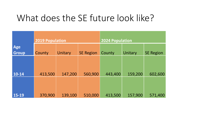## What does the SE future look like?

|                     | 2019 Population |         |                  | <b>2024 Population</b> |         |                  |  |
|---------------------|-----------------|---------|------------------|------------------------|---------|------------------|--|
| Age<br><b>Group</b> | County          | Unitary | <b>SE Region</b> | County                 | Unitary | <b>SE Region</b> |  |
|                     |                 |         |                  |                        |         |                  |  |
| $10 - 14$           | 413,500         | 147,200 | 560,900          | 443,400                | 159,200 | 602,600          |  |
| 15-19               | 370,900         | 139,100 | 510,000          | 413,500                | 157,900 | 571,400          |  |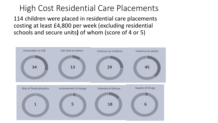### High Cost Residential Care Placements

114 children were placed in residential care placements costing at least £4,800 per week (excluding residential schools and secure units**)** of whom (score of 4 or 5)

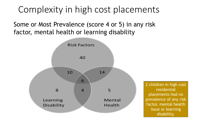## Complexity in high cost placements

Some or Most Prevalence (score 4 or 5) in any risk factor, mental health or learning disability



2 children in high cost residential placements had no prevalence of any risk factor, mental health issue or learning disability.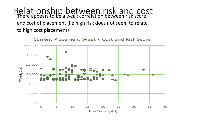Relationship between risk and cost There appears to be a weak correlation between risk score and cost of placement (i.e high risk does not seem to relate to high cost placement)



**Current Placement Weekly Cost and Risk Score**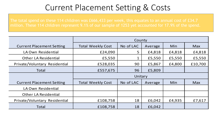### Current Placement Setting & Costs

The total spend on these 114 children was £666,433 per week, this equates to an annual cost of £34.7

|                                  | County                   |           |         |        |            |  |
|----------------------------------|--------------------------|-----------|---------|--------|------------|--|
| <b>Current Placement Setting</b> | <b>Total Weekly Cost</b> | No of LAC | Average | Min    | <b>Max</b> |  |
| LA Own Residential               | £24,090                  | 5         | £4,818  | £4,818 | £4,818     |  |
| <b>Other LA Residential</b>      | £5,550                   | 1         | £5,550  | £5,550 | £5,550     |  |
| Private/Voluntary Residential    | £528,035                 | 90        | £5,867  | £4,800 | £10,700    |  |
| Total                            | £557,675                 | 96        | £5,809  |        |            |  |
|                                  | Unitary                  |           |         |        |            |  |
| <b>Current Placement Setting</b> | <b>Total Weekly Cost</b> | No of LAC | Average | Min    | <b>Max</b> |  |
| LA Own Residential               |                          |           |         |        |            |  |
| <b>Other LA Residential</b>      |                          |           |         |        |            |  |
| Private/Voluntary Residential    | £108,758                 | 18        | £6,042  | £4,935 | £7,617     |  |
| Total                            | £108,758                 | 18        | £6,042  |        |            |  |
|                                  |                          |           |         |        |            |  |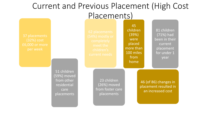### Current and Previous Placement (High Cost Placements)

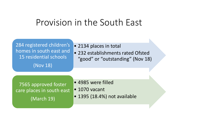## Provision in the South East

| 284 registered children's<br>homes in south east and<br>15 residential schools<br>(Nov 18) | • 2134 places in total<br>• 232 establishments rated Ofsted<br>"good" or "outstanding" (Nov 18) |
|--------------------------------------------------------------------------------------------|-------------------------------------------------------------------------------------------------|
| 7565 approved foster                                                                       | • 4985 were filled                                                                              |
| care places in south east                                                                  | $\bullet$ 1070 vacant                                                                           |
| (March 19)                                                                                 | • 1395 (18.4%) not available                                                                    |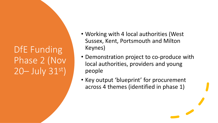## DfE Funding Phase 2 (Nov 20– July 31st)

- Working with 4 local authorities (West Sussex, Kent, Portsmouth and Milton Keynes)
- Demonstration project to co-produce with local authorities, providers and young people
- Key output 'blueprint' for procurement across 4 themes (identified in phase 1)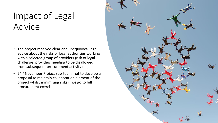## Impact of Legal Advice

- The project received clear and unequivocal legal advice about the risks of local authorities working with a selected group of providers (risk of legal challenge, providers needing to be disallowed from subsequent procurement activity etc)
- 24<sup>th</sup> November Project sub-team met to develop a proposal to maintain collaboration element of the project whilst minimizing risks if we go to full procurement exercise

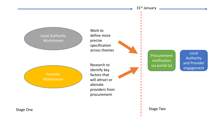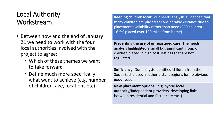#### Local Authority Workstream

- Between now and the end of January 21 we need to work with the four local authorities involved with the project to agree:
	- Which of these themes we want to take forward
	- Define much more specifically what want to achieve (e.g. number of children, age, locations etc)

**Keeping children local:** our needs analysis evidenced that many children are placed at considerable distance due to placement availability rather than need (200 children - 16.5% placed over 100 miles from home).

**Preventing the use of unregistered care:** The needs analysis highlighted a small but significant group of children placed in high cost settings that are not regulated.

**Sufficiency:** Our analysis identified children from the South East placed in other distant regions for no obvious good reason.

**New placement options:** (e.g. hybrid local authority/independent providers, developing links between residential and foster care etc. )